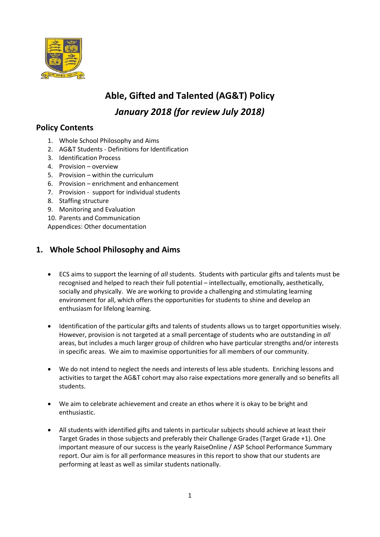

# **Able, Gifted and Talented (AG&T) Policy** *January 2018 (for review July 2018)*

# **Policy Contents**

- 1. Whole School Philosophy and Aims
- 2. AG&T Students Definitions for Identification
- 3. Identification Process
- 4. Provision overview
- 5. Provision within the curriculum
- 6. Provision enrichment and enhancement
- 7. Provision support for individual students
- 8. Staffing structure
- 9. Monitoring and Evaluation
- 10. Parents and Communication

Appendices: Other documentation

### **1. Whole School Philosophy and Aims**

- ECS aims to support the learning of *all* students. Students with particular gifts and talents must be recognised and helped to reach their full potential – intellectually, emotionally, aesthetically, socially and physically. We are working to provide a challenging and stimulating learning environment for all, which offers the opportunities for students to shine and develop an enthusiasm for lifelong learning.
- Identification of the particular gifts and talents of students allows us to target opportunities wisely. However, provision is not targeted at a small percentage of students who are outstanding in *all* areas, but includes a much larger group of children who have particular strengths and/or interests in specific areas. We aim to maximise opportunities for all members of our community.
- We do not intend to neglect the needs and interests of less able students. Enriching lessons and activities to target the AG&T cohort may also raise expectations more generally and so benefits all students.
- We aim to celebrate achievement and create an ethos where it is okay to be bright and enthusiastic.
- All students with identified gifts and talents in particular subjects should achieve at least their Target Grades in those subjects and preferably their Challenge Grades (Target Grade +1). One important measure of our success is the yearly RaiseOnline / ASP School Performance Summary report. Our aim is for all performance measures in this report to show that our students are performing at least as well as similar students nationally.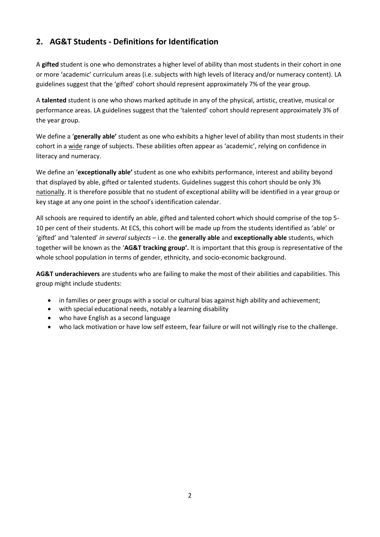# **2. AG&T Students - Definitions for Identification**

A **gifted** student is one who demonstrates a higher level of ability than most students in their cohort in one or more 'academic' curriculum areas (i.e. subjects with high levels of literacy and/or numeracy content). LA guidelines suggest that the 'gifted' cohort should represent approximately 7% of the year group.

A **talented** student is one who shows marked aptitude in any of the physical, artistic, creative, musical or performance areas. LA guidelines suggest that the 'talented' cohort should represent approximately 3% of the year group.

We define a '**generally able'** student as one who exhibits a higher level of ability than most students in their cohort in a wide range of subjects. These abilities often appear as 'academic', relying on confidence in literacy and numeracy.

We define an '**exceptionally able'** student as one who exhibits performance, interest and ability beyond that displayed by able, gifted or talented students. Guidelines suggest this cohort should be only 3% nationally. It is therefore possible that no student of exceptional ability will be identified in a year group or key stage at any one point in the school's identification calendar.

All schools are required to identify an able, gifted and talented cohort which should comprise of the top 5- 10 per cent of their students. At ECS, this cohort will be made up from the students identified as 'able' or 'gifted' and 'talented' *in several subjects* – i.e. the **generally able** and **exceptionally able** students, which together will be known as the '**AG&T tracking group'.** It is important that this group is representative of the whole school population in terms of gender, ethnicity, and socio-economic background.

**AG&T underachievers** are students who are failing to make the most of their abilities and capabilities. This group might include students:

- in families or peer groups with a social or cultural bias against high ability and achievement;
- with special educational needs, notably a learning disability
- who have English as a second language
- who lack motivation or have low self esteem, fear failure or will not willingly rise to the challenge.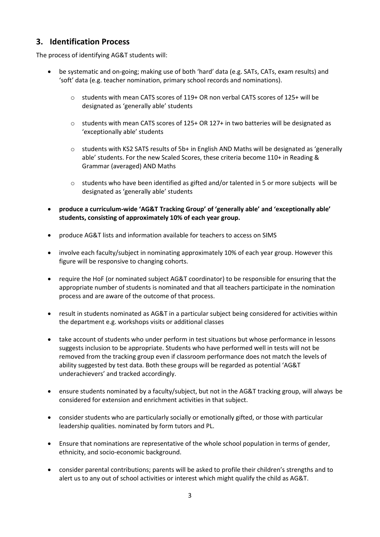### **3. Identification Process**

The process of identifying AG&T students will:

- be systematic and on-going; making use of both 'hard' data (e.g. SATs, CATs, exam results) and 'soft' data (e.g. teacher nomination, primary school records and nominations).
	- o students with mean CATS scores of 119+ OR non verbal CATS scores of 125+ will be designated as 'generally able' students
	- $\circ$  students with mean CATS scores of 125+ OR 127+ in two batteries will be designated as 'exceptionally able' students
	- $\circ$  students with KS2 SATS results of 5b+ in English AND Maths will be designated as 'generally able' students. For the new Scaled Scores, these criteria become 110+ in Reading & Grammar (averaged) AND Maths
	- o students who have been identified as gifted and/or talented in 5 or more subjects will be designated as 'generally able' students
- **produce a curriculum-wide 'AG&T Tracking Group' of 'generally able' and 'exceptionally able' students, consisting of approximately 10% of each year group.**
- produce AG&T lists and information available for teachers to access on SIMS
- involve each faculty/subject in nominating approximately 10% of each year group. However this figure will be responsive to changing cohorts.
- require the HoF (or nominated subject AG&T coordinator) to be responsible for ensuring that the appropriate number of students is nominated and that all teachers participate in the nomination process and are aware of the outcome of that process.
- result in students nominated as AG&T in a particular subject being considered for activities within the department e.g. workshops visits or additional classes
- take account of students who under perform in test situations but whose performance in lessons suggests inclusion to be appropriate. Students who have performed well in tests will not be removed from the tracking group even if classroom performance does not match the levels of ability suggested by test data. Both these groups will be regarded as potential 'AG&T underachievers' and tracked accordingly.
- ensure students nominated by a faculty/subject, but not in the AG&T tracking group, will always be considered for extension and enrichment activities in that subject.
- consider students who are particularly socially or emotionally gifted, or those with particular leadership qualities. nominated by form tutors and PL.
- Ensure that nominations are representative of the whole school population in terms of gender, ethnicity, and socio-economic background.
- consider parental contributions; parents will be asked to profile their children's strengths and to alert us to any out of school activities or interest which might qualify the child as AG&T.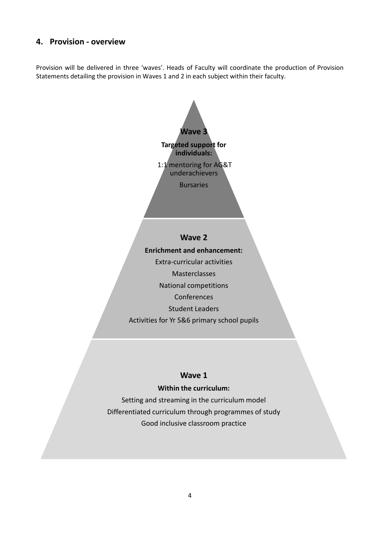### **4. Provision - overview**

Provision will be delivered in three 'waves'. Heads of Faculty will coordinate the production of Provision Statements detailing the provision in Waves 1 and 2 in each subject within their faculty.



### **Wave 1**

### **Within the curriculum:**

Setting and streaming in the curriculum model Differentiated curriculum through programmes of study Good inclusive classroom practice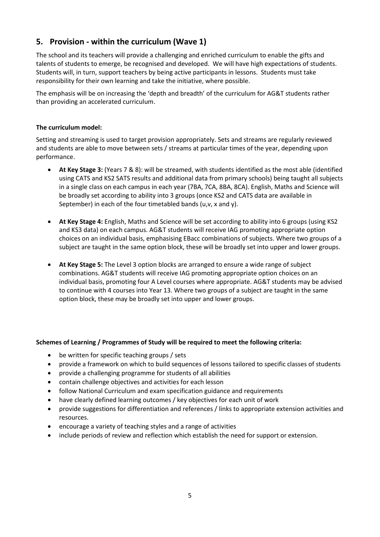# **5. Provision - within the curriculum (Wave 1)**

The school and its teachers will provide a challenging and enriched curriculum to enable the gifts and talents of students to emerge, be recognised and developed. We will have high expectations of students. Students will, in turn, support teachers by being active participants in lessons. Students must take responsibility for their own learning and take the initiative, where possible.

The emphasis will be on increasing the 'depth and breadth' of the curriculum for AG&T students rather than providing an accelerated curriculum.

#### **The curriculum model:**

Setting and streaming is used to target provision appropriately. Sets and streams are regularly reviewed and students are able to move between sets / streams at particular times of the year, depending upon performance.

- **At Key Stage 3:** (Years 7 & 8): will be streamed, with students identified as the most able (identified using CATS and KS2 SATS results and additional data from primary schools) being taught all subjects in a single class on each campus in each year (7BA, 7CA, 8BA, 8CA). English, Maths and Science will be broadly set according to ability into 3 groups (once KS2 and CATS data are available in September) in each of the four timetabled bands (u,v, x and y).
- **At Key Stage 4:** English, Maths and Science will be set according to ability into 6 groups (using KS2 and KS3 data) on each campus. AG&T students will receive IAG promoting appropriate option choices on an individual basis, emphasising EBacc combinations of subjects. Where two groups of a subject are taught in the same option block, these will be broadly set into upper and lower groups.
- **At Key Stage 5:** The Level 3 option blocks are arranged to ensure a wide range of subject combinations. AG&T students will receive IAG promoting appropriate option choices on an individual basis, promoting four A Level courses where appropriate. AG&T students may be advised to continue with 4 courses into Year 13. Where two groups of a subject are taught in the same option block, these may be broadly set into upper and lower groups.

#### **Schemes of Learning / Programmes of Study will be required to meet the following criteria:**

- be written for specific teaching groups / sets
- provide a framework on which to build sequences of lessons tailored to specific classes of students
- provide a challenging programme for students of all abilities
- contain challenge objectives and activities for each lesson
- follow National Curriculum and exam specification guidance and requirements
- have clearly defined learning outcomes / key objectives for each unit of work
- provide suggestions for differentiation and references / links to appropriate extension activities and resources.
- encourage a variety of teaching styles and a range of activities
- include periods of review and reflection which establish the need for support or extension.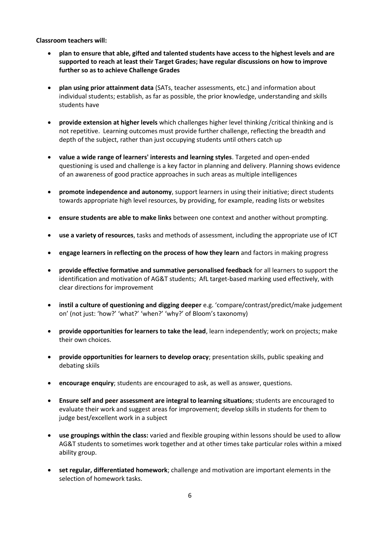**Classroom teachers will:**

- **plan to ensure that able, gifted and talented students have access to the highest levels and are supported to reach at least their Target Grades; have regular discussions on how to improve further so as to achieve Challenge Grades**
- **plan using prior attainment data** (SATs, teacher assessments, etc.) and information about individual students; establish, as far as possible, the prior knowledge, understanding and skills students have
- **provide extension at higher levels** which challenges higher level thinking /critical thinking and is not repetitive. Learning outcomes must provide further challenge, reflecting the breadth and depth of the subject, rather than just occupying students until others catch up
- **value a wide range of learners' interests and learning styles**. Targeted and open-ended questioning is used and challenge is a key factor in planning and delivery. Planning shows evidence of an awareness of good practice approaches in such areas as multiple intelligences
- **promote independence and autonomy**, support learners in using their initiative; direct students towards appropriate high level resources, by providing, for example, reading lists or websites
- **ensure students are able to make links** between one context and another without prompting.
- **use a variety of resources**, tasks and methods of assessment, including the appropriate use of ICT
- **engage learners in reflecting on the process of how they learn** and factors in making progress
- **provide effective formative and summative personalised feedback** for all learners to support the identification and motivation of AG&T students; AfL target-based marking used effectively, with clear directions for improvement
- **instil a culture of questioning and digging deeper** e.g. 'compare/contrast/predict/make judgement on' (not just: 'how?' 'what?' 'when?' 'why?' of Bloom's taxonomy)
- **provide opportunities for learners to take the lead**, learn independently; work on projects; make their own choices.
- **provide opportunities for learners to develop oracy**; presentation skills, public speaking and debating skiils
- **encourage enquiry**; students are encouraged to ask, as well as answer, questions.
- **Ensure self and peer assessment are integral to learning situations**; students are encouraged to evaluate their work and suggest areas for improvement; develop skills in students for them to judge best/excellent work in a subject
- **use groupings within the class:** varied and flexible grouping within lessons should be used to allow AG&T students to sometimes work together and at other times take particular roles within a mixed ability group.
- **set regular, differentiated homework**; challenge and motivation are important elements in the selection of homework tasks.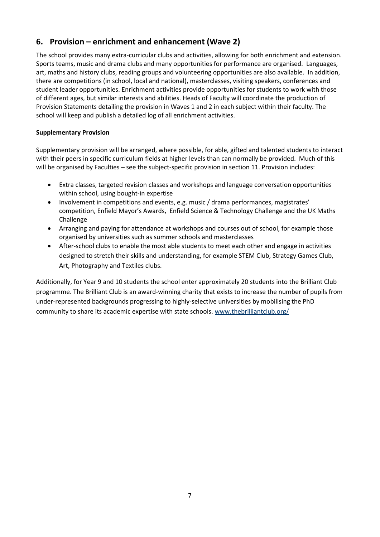# **6. Provision – enrichment and enhancement (Wave 2)**

The school provides many extra-curricular clubs and activities, allowing for both enrichment and extension. Sports teams, music and drama clubs and many opportunities for performance are organised. Languages, art, maths and history clubs, reading groups and volunteering opportunities are also available. In addition, there are competitions (in school, local and national), masterclasses, visiting speakers, conferences and student leader opportunities. Enrichment activities provide opportunities for students to work with those of different ages, but similar interests and abilities. Heads of Faculty will coordinate the production of Provision Statements detailing the provision in Waves 1 and 2 in each subject within their faculty. The school will keep and publish a detailed log of all enrichment activities.

### **Supplementary Provision**

Supplementary provision will be arranged, where possible, for able, gifted and talented students to interact with their peers in specific curriculum fields at higher levels than can normally be provided. Much of this will be organised by Faculties – see the subject-specific provision in section 11. Provision includes:

- Extra classes, targeted revision classes and workshops and language conversation opportunities within school, using bought-in expertise
- Involvement in competitions and events, e.g. music / drama performances, magistrates' competition, Enfield Mayor's Awards, Enfield Science & Technology Challenge and the UK Maths Challenge
- Arranging and paying for attendance at workshops and courses out of school, for example those organised by universities such as summer schools and masterclasses
- After-school clubs to enable the most able students to meet each other and engage in activities designed to stretch their skills and understanding, for example STEM Club, Strategy Games Club, Art, Photography and Textiles clubs.

Additionally, for Year 9 and 10 students the school enter approximately 20 students into the Brilliant Club programme. The Brilliant Club is an award-winning charity that exists to increase the number of pupils from under-represented backgrounds progressing to highly-selective universities by mobilising the PhD community to share its academic expertise with state schools. [www.thebrilliantclub.org/](http://www.thebrilliantclub.org/)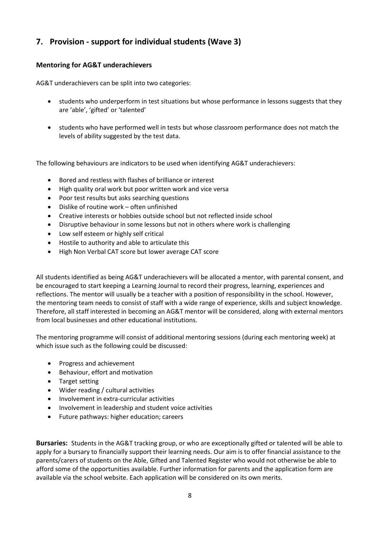# **7. Provision - support for individual students (Wave 3)**

### **Mentoring for AG&T underachievers**

AG&T underachievers can be split into two categories:

- students who underperform in test situations but whose performance in lessons suggests that they are 'able', 'gifted' or 'talented'
- students who have performed well in tests but whose classroom performance does not match the levels of ability suggested by the test data.

The following behaviours are indicators to be used when identifying AG&T underachievers:

- Bored and restless with flashes of brilliance or interest
- High quality oral work but poor written work and vice versa
- Poor test results but asks searching questions
- Dislike of routine work often unfinished
- Creative interests or hobbies outside school but not reflected inside school
- Disruptive behaviour in some lessons but not in others where work is challenging
- Low self esteem or highly self critical
- Hostile to authority and able to articulate this
- High Non Verbal CAT score but lower average CAT score

All students identified as being AG&T underachievers will be allocated a mentor, with parental consent, and be encouraged to start keeping a Learning Journal to record their progress, learning, experiences and reflections. The mentor will usually be a teacher with a position of responsibility in the school. However, the mentoring team needs to consist of staff with a wide range of experience, skills and subject knowledge. Therefore, all staff interested in becoming an AG&T mentor will be considered, along with external mentors from local businesses and other educational institutions.

The mentoring programme will consist of additional mentoring sessions (during each mentoring week) at which issue such as the following could be discussed:

- Progress and achievement
- Behaviour, effort and motivation
- Target setting
- Wider reading / cultural activities
- Involvement in extra-curricular activities
- Involvement in leadership and student voice activities
- Future pathways: higher education; careers

**Bursaries:** Students in the AG&T tracking group, or who are exceptionally gifted or talented will be able to apply for a bursary to financially support their learning needs. Our aim is to offer financial assistance to the parents/carers of students on the Able, Gifted and Talented Register who would not otherwise be able to afford some of the opportunities available. Further information for parents and the application form are available via the school website. Each application will be considered on its own merits.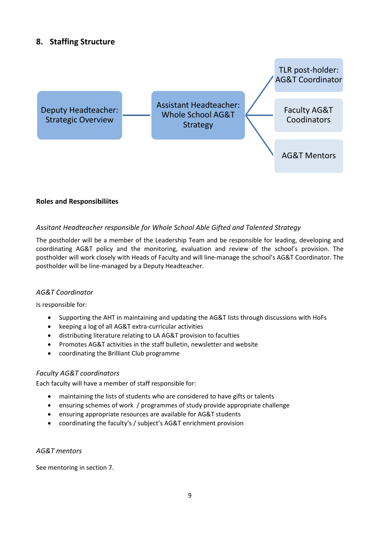# **8. Staffing Structure**



#### **Roles and Responsibiliites**

### *Assitant Headteacher responsible for Whole School Able Gifted and Talented Strategy*

The postholder will be a member of the Leadership Team and be responsible for leading, developing and coordinating AG&T policy and the monitoring, evaluation and review of the school's provision. The postholder will work closely with Heads of Faculty and will line-manage the school's AG&T Coordinator. The postholder will be line-managed by a Deputy Headteacher.

#### *AG&T Coordinator*

Is responsible for:

- Supporting the AHT in maintaining and updating the AG&T lists through discussions with HoFs
- keeping a log of all AG&T extra-curricular activities
- distributing literature relating to LA AG&T provision to faculties
- Promotes AG&T activities in the staff bulletin, newsletter and website
- coordinating the Brilliant Club programme

#### *Faculty AG&T coordinators*

Each faculty will have a member of staff responsible for:

- maintaining the lists of students who are considered to have gifts or talents
- ensuring schemes of work / programmes of study provide appropriate challenge
- ensuring appropriate resources are available for AG&T students
- coordinating the faculty's / subject's AG&T enrichment provision

#### *AG&T mentors*

See mentoring in section 7.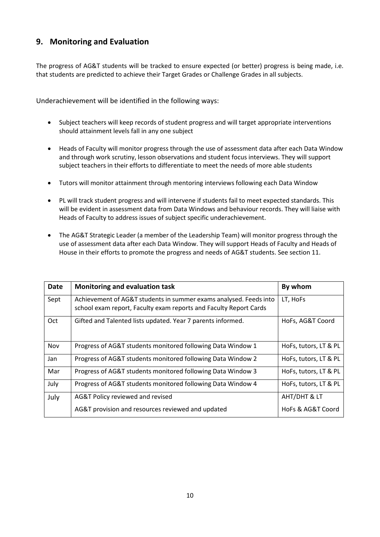### **9. Monitoring and Evaluation**

The progress of AG&T students will be tracked to ensure expected (or better) progress is being made, i.e. that students are predicted to achieve their Target Grades or Challenge Grades in all subjects.

Underachievement will be identified in the following ways:

- Subject teachers will keep records of student progress and will target appropriate interventions should attainment levels fall in any one subject
- Heads of Faculty will monitor progress through the use of assessment data after each Data Window and through work scrutiny, lesson observations and student focus interviews. They will support subject teachers in their efforts to differentiate to meet the needs of more able students
- Tutors will monitor attainment through mentoring interviews following each Data Window
- PL will track student progress and will intervene if students fail to meet expected standards. This will be evident in assessment data from Data Windows and behaviour records. They will liaise with Heads of Faculty to address issues of subject specific underachievement.
- The AG&T Strategic Leader (a member of the Leadership Team) will monitor progress through the use of assessment data after each Data Window. They will support Heads of Faculty and Heads of House in their efforts to promote the progress and needs of AG&T students. See section 11.

| <b>Date</b> | Monitoring and evaluation task                                                                                                         | By whom               |
|-------------|----------------------------------------------------------------------------------------------------------------------------------------|-----------------------|
| Sept        | Achievement of AG&T students in summer exams analysed. Feeds into<br>school exam report, Faculty exam reports and Faculty Report Cards | LT, HoFs              |
| Oct         | Gifted and Talented lists updated. Year 7 parents informed.                                                                            | HoFs, AG&T Coord      |
| Nov         | Progress of AG&T students monitored following Data Window 1                                                                            | HoFs, tutors, LT & PL |
| Jan         | Progress of AG&T students monitored following Data Window 2                                                                            | HoFs, tutors, LT & PL |
| Mar         | Progress of AG&T students monitored following Data Window 3                                                                            | HoFs, tutors, LT & PL |
| July        | Progress of AG&T students monitored following Data Window 4                                                                            | HoFs, tutors, LT & PL |
| July        | AG&T Policy reviewed and revised                                                                                                       | AHT/DHT & LT          |
|             | AG&T provision and resources reviewed and updated                                                                                      | HoFs & AG&T Coord     |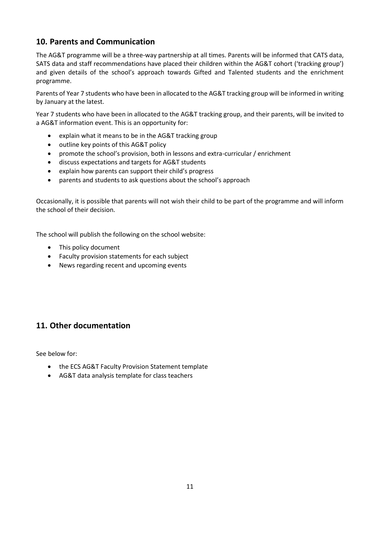# **10. Parents and Communication**

The AG&T programme will be a three-way partnership at all times. Parents will be informed that CATS data, SATS data and staff recommendations have placed their children within the AG&T cohort ('tracking group') and given details of the school's approach towards Gifted and Talented students and the enrichment programme.

Parents of Year 7 students who have been in allocated to the AG&T tracking group will be informed in writing by January at the latest.

Year 7 students who have been in allocated to the AG&T tracking group, and their parents, will be invited to a AG&T information event. This is an opportunity for:

- explain what it means to be in the AG&T tracking group
- outline key points of this AG&T policy
- promote the school's provision, both in lessons and extra-curricular / enrichment
- discuss expectations and targets for AG&T students
- explain how parents can support their child's progress
- parents and students to ask questions about the school's approach

Occasionally, it is possible that parents will not wish their child to be part of the programme and will inform the school of their decision.

The school will publish the following on the school website:

- This policy document
- Faculty provision statements for each subject
- News regarding recent and upcoming events

### **11. Other documentation**

See below for:

- the ECS AG&T Faculty Provision Statement template
- AG&T data analysis template for class teachers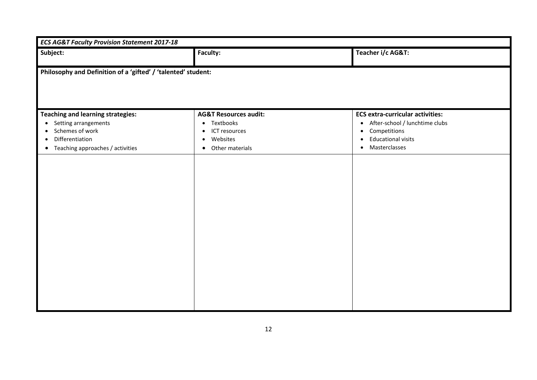| <b>ECS AG&amp;T Faculty Provision Statement 2017-18</b>                                                                                                                                        |                                                                                                                             |                                                                                                                                                                                             |  |  |  |
|------------------------------------------------------------------------------------------------------------------------------------------------------------------------------------------------|-----------------------------------------------------------------------------------------------------------------------------|---------------------------------------------------------------------------------------------------------------------------------------------------------------------------------------------|--|--|--|
| Subject:                                                                                                                                                                                       | Faculty:                                                                                                                    | Teacher i/c AG&T:                                                                                                                                                                           |  |  |  |
| Philosophy and Definition of a 'gifted' / 'talented' student:                                                                                                                                  |                                                                                                                             |                                                                                                                                                                                             |  |  |  |
| <b>Teaching and learning strategies:</b><br>Setting arrangements<br>$\bullet$<br>Schemes of work<br>$\bullet$<br>Differentiation<br>$\bullet$<br>Teaching approaches / activities<br>$\bullet$ | <b>AG&amp;T Resources audit:</b><br>• Textbooks<br>ICT resources<br>$\bullet$<br>Websites<br>$\bullet$<br>• Other materials | <b>ECS extra-curricular activities:</b><br>After-school / lunchtime clubs<br>$\bullet$<br>Competitions<br>$\bullet$<br><b>Educational visits</b><br>$\bullet$<br>Masterclasses<br>$\bullet$ |  |  |  |
|                                                                                                                                                                                                |                                                                                                                             |                                                                                                                                                                                             |  |  |  |